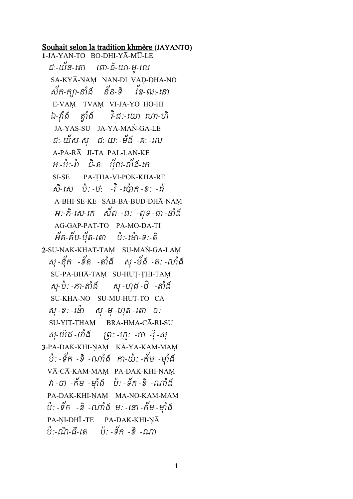## Souhait selon la tradition khmère (JAYANTO)

**1-**JA-YAN-TO BO-DHI-Y¾-MÐ-LE ជៈ-យន-តោ ពោ-ជ-យា-មូ-លេ SA-KYĀ-NAM NAN-DI VAD-DHA-NO សក-ក្យា-នាង នន-ទ វឌ-ឍ:-នោ E-VAM TVAM VI-JA-YO HO-HI ឯ-វ ង ាំ ោវងាំ វ-ិជៈ-តយា តោ-ហិ JA-YAS-SU JA-YA-MAN-GA-LE ជៈ-យស-សុ ជៈ-យៈ -មង -គ: -លេ A-PA-RA JI-TA PAL-LAN-KE អ:-ប:-ព ជ-ត: បុល-លង-កេ SĪ-SE PA-THA-VI-POK-KHA-RE ស-សេ បៈ-ឋៈ -វ -ញេក -ខៈ -ព A-BHI-SE-KE SAB-BA-BUD-DHA-NAM អៈ-ភិ-សេ-កេ សំព -ព: -ពុទ-ជា-នាង AG-GAP-PAT-TO PA-MO-DA-TI អគិ-គប-បុត-តោ ប:-មោ-ទ:-ត 2-SU-NAK-KHAT-TAM SU-MAN-GA-LAM ស៊ុ -នុក -ខត -តាង សុ -មង -គ: -លាង SU-PA-BHĀ-TAM SU-HUȚ-ȚHI-TAM សុ-ប៉: -ភា-តាំង៍ សុ -ហុដ -ថិ -តាំង៍ SU-KHA-NO SU-MU-HUT-TO CA សុ -ខៈ - ន៉ោ = សុ -មុ -ហុត - តោ = ចៈ SU-YIT-THAM BRA-HMA-CĀ-RI-SU សុ-យដ -ថាង ព្រ: -ហ្ម: -ថា -រុ -សុ 3-PA-DAK-KHI-NAM KĀ-YA-KAM-MAM ប: -ទឹក -ខ -ណាង កា-យ: -កម -ម៉ាង VĀ-CĀ-KAM-MAM PA-DAK-KHI-NAM វា -ចា -កម -មុាង ប: -ទក -ខ -ណាង PA-DAK-KHI-NAM MA-NO-KAM-MAM ប: -ទឹក -៦ -ណាង ម: -នោ -កម -ម៉ាង PA-NI-DHĪ -TE PA-DAK-KHI-NĀ បៈ-ណ-ជ-តេ បៈ-ទក*-*ខ-ណា